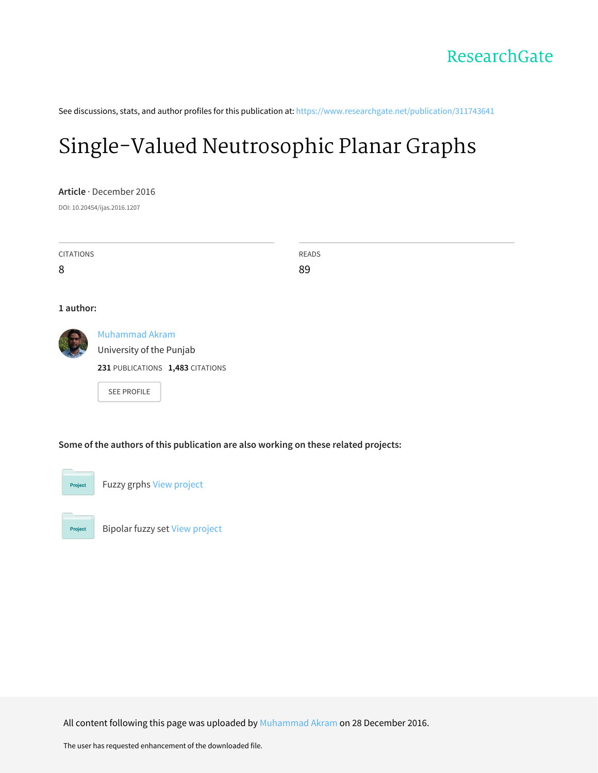See discussions, stats, and author profiles for this publication at: [https://www.researchgate.net/publication/311743641](https://www.researchgate.net/publication/311743641_Single-Valued_Neutrosophic_Planar_Graphs?enrichId=rgreq-0868994e904ab6d6030638f2a155417a-XXX&enrichSource=Y292ZXJQYWdlOzMxMTc0MzY0MTtBUzo0NDQyNzYzMjE1OTEyOTZAMTQ4MjkzNTEzNzY5Mw%3D%3D&el=1_x_2&_esc=publicationCoverPdf)

# [Single-Valued](https://www.researchgate.net/publication/311743641_Single-Valued_Neutrosophic_Planar_Graphs?enrichId=rgreq-0868994e904ab6d6030638f2a155417a-XXX&enrichSource=Y292ZXJQYWdlOzMxMTc0MzY0MTtBUzo0NDQyNzYzMjE1OTEyOTZAMTQ4MjkzNTEzNzY5Mw%3D%3D&el=1_x_3&_esc=publicationCoverPdf) Neutrosophic Planar Graphs

**Article** · December 2016

DOI: 10.20454/ijas.2016.1207

| <b>CITATIONS</b> |                                  | READS |  |  |  |  |  |  |  |  |
|------------------|----------------------------------|-------|--|--|--|--|--|--|--|--|
| 8                |                                  | 89    |  |  |  |  |  |  |  |  |
|                  |                                  |       |  |  |  |  |  |  |  |  |
| 1 author:        |                                  |       |  |  |  |  |  |  |  |  |
|                  | Muhammad Akram                   |       |  |  |  |  |  |  |  |  |
|                  | University of the Punjab         |       |  |  |  |  |  |  |  |  |
|                  | 231 PUBLICATIONS 1,483 CITATIONS |       |  |  |  |  |  |  |  |  |

SEE [PROFILE](https://www.researchgate.net/profile/Muhammad_Akram34?enrichId=rgreq-0868994e904ab6d6030638f2a155417a-XXX&enrichSource=Y292ZXJQYWdlOzMxMTc0MzY0MTtBUzo0NDQyNzYzMjE1OTEyOTZAMTQ4MjkzNTEzNzY5Mw%3D%3D&el=1_x_7&_esc=publicationCoverPdf)

### **Some of the authors of this publication are also working on these related projects:**



Project

Fuzzy grphs View [project](https://www.researchgate.net/project/Fuzzy-grphs?enrichId=rgreq-0868994e904ab6d6030638f2a155417a-XXX&enrichSource=Y292ZXJQYWdlOzMxMTc0MzY0MTtBUzo0NDQyNzYzMjE1OTEyOTZAMTQ4MjkzNTEzNzY5Mw%3D%3D&el=1_x_9&_esc=publicationCoverPdf)

Bipolar fuzzy set View [project](https://www.researchgate.net/project/Bipolar-fuzzy-set?enrichId=rgreq-0868994e904ab6d6030638f2a155417a-XXX&enrichSource=Y292ZXJQYWdlOzMxMTc0MzY0MTtBUzo0NDQyNzYzMjE1OTEyOTZAMTQ4MjkzNTEzNzY5Mw%3D%3D&el=1_x_9&_esc=publicationCoverPdf)

All content following this page was uploaded by [Muhammad](https://www.researchgate.net/profile/Muhammad_Akram34?enrichId=rgreq-0868994e904ab6d6030638f2a155417a-XXX&enrichSource=Y292ZXJQYWdlOzMxMTc0MzY0MTtBUzo0NDQyNzYzMjE1OTEyOTZAMTQ4MjkzNTEzNzY5Mw%3D%3D&el=1_x_10&_esc=publicationCoverPdf) Akram on 28 December 2016.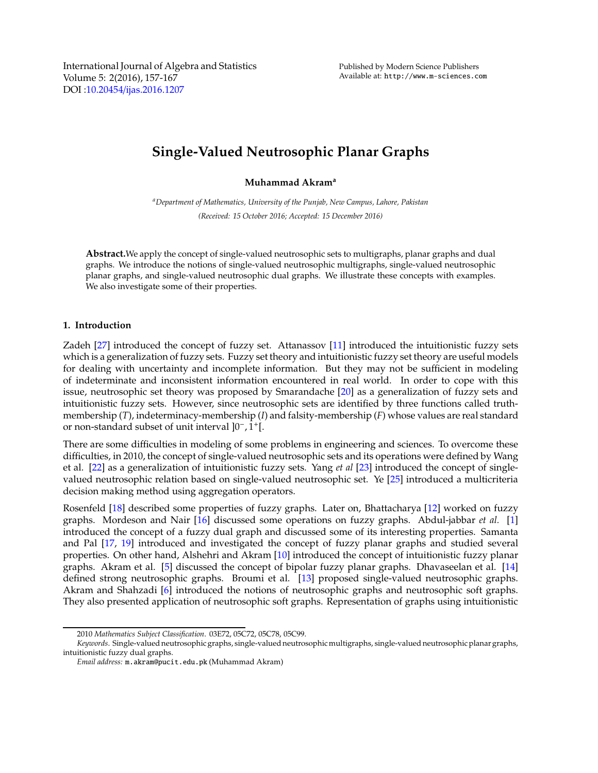International Journal of Algebra and Statistics Volume 5: 2(2016), 157-167 DOI :10.20454/[ijas.2016.1207](http://dx.doi.org/10.20454/ijas.2016.1207)

## **Single-Valued Neutrosophic Planar Graphs**

**Muhammad Akram<sup>a</sup>**

*<sup>a</sup>Department of Mathematics, University of the Punjab, New Campus, Lahore, Pakistan (Received: 15 October 2016; Accepted: 15 December 2016)*

**Abstract.**We apply the concept of single-valued neutrosophic sets to multigraphs, planar graphs and dual graphs. We introduce the notions of single-valued neutrosophic multigraphs, single-valued neutrosophic planar graphs, and single-valued neutrosophic dual graphs. We illustrate these concepts with examples. We also investigate some of their properties.

#### **1. Introduction**

Zadeh [\[27\]](#page-11-0) introduced the concept of fuzzy set. Attanassov [\[11\]](#page-11-1) introduced the intuitionistic fuzzy sets which is a generalization of fuzzy sets. Fuzzy set theory and intuitionistic fuzzy set theory are useful models for dealing with uncertainty and incomplete information. But they may not be sufficient in modeling of indeterminate and inconsistent information encountered in real world. In order to cope with this issue, neutrosophic set theory was proposed by Smarandache [\[20](#page-11-2)] as a generalization of fuzzy sets and intuitionistic fuzzy sets. However, since neutrosophic sets are identified by three functions called truthmembership (*T*), indeterminacy-membership (*I*) and falsity-membership (*F*) whose values are real standard or non-standard subset of unit interval ]0<sup>-</sup>, 1<sup>+</sup>[.

There are some difficulties in modeling of some problems in engineering and sciences. To overcome these difficulties, in 2010, the concept of single-valued neutrosophic sets and its operations were defined by Wang et al. [\[22](#page-11-3)] as a generalization of intuitionistic fuzzy sets. Yang *et al* [\[23\]](#page-11-4) introduced the concept of singlevalued neutrosophic relation based on single-valued neutrosophic set. Ye [\[25\]](#page-11-5) introduced a multicriteria decision making method using aggregation operators.

Rosenfeld [\[18\]](#page-11-6) described some properties of fuzzy graphs. Later on, Bhattacharya [\[12\]](#page-11-7) worked on fuzzy graphs. Mordeson and Nair [\[16\]](#page-11-8) discussed some operations on fuzzy graphs. Abdul-jabbar *et al.* [\[1\]](#page-11-9) introduced the concept of a fuzzy dual graph and discussed some of its interesting properties. Samanta and Pal [\[17](#page-11-10), [19](#page-11-11)] introduced and investigated the concept of fuzzy planar graphs and studied several properties. On other hand, Alshehri and Akram [\[10\]](#page-11-12) introduced the concept of intuitionistic fuzzy planar graphs. Akram et al. [\[5\]](#page-11-13) discussed the concept of bipolar fuzzy planar graphs. Dhavaseelan et al. [\[14\]](#page-11-14) defined strong neutrosophic graphs. Broumi et al. [\[13\]](#page-11-15) proposed single-valued neutrosophic graphs. Akram and Shahzadi [\[6\]](#page-11-16) introduced the notions of neutrosophic graphs and neutrosophic soft graphs. They also presented application of neutrosophic soft graphs. Representation of graphs using intuitionistic

<sup>2010</sup> *Mathematics Subject Classification*. 03E72, 05C72, 05C78, 05C99.

*Keywords*. Single-valued neutrosophic graphs, single-valued neutrosophicmultigraphs, single-valued neutrosophic planar graphs, intuitionistic fuzzy dual graphs.

*Email address:* m.akram@pucit.edu.pk (Muhammad Akram)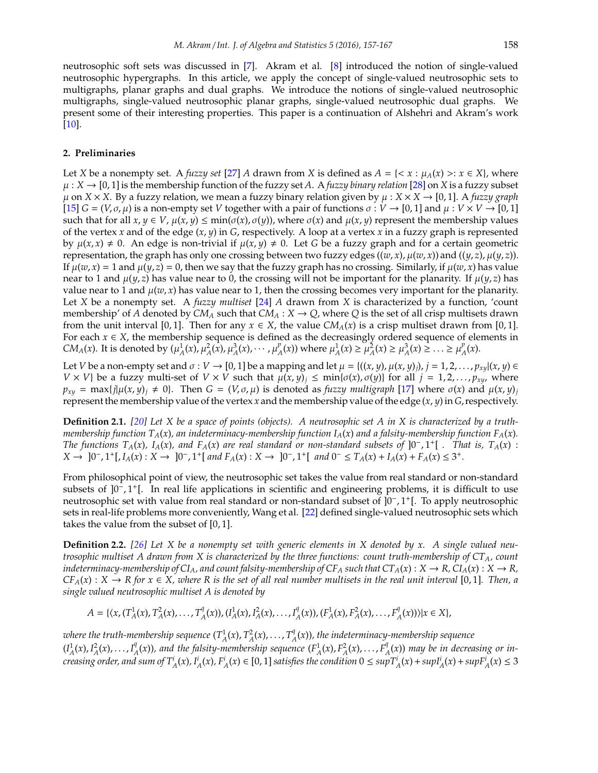neutrosophic soft sets was discussed in [\[7\]](#page-11-17). Akram et al. [\[8\]](#page-11-18) introduced the notion of single-valued neutrosophic hypergraphs. In this article, we apply the concept of single-valued neutrosophic sets to multigraphs, planar graphs and dual graphs. We introduce the notions of single-valued neutrosophic multigraphs, single-valued neutrosophic planar graphs, single-valued neutrosophic dual graphs. We present some of their interesting properties. This paper is a continuation of Alshehri and Akram's work

#### **2. Preliminaries**

[\[10\]](#page-11-12).

Let *X* be a nonempty set. A *fuzzy set* [\[27\]](#page-11-0) *A* drawn from *X* is defined as  $A = \{ \langle x : \mu_A(x) > : x \in X \}$ , where  $\mu$ :  $X \rightarrow [0,1]$  is the membership function of the fuzzy set A. A *fuzzy binary relation* [\[28\]](#page-11-19) on X is a fuzzy subset  $\mu$  on *X* × *X*. By a fuzzy relation, we mean a fuzzy binary relation given by  $\mu$  : *X* × *X*  $\rightarrow$  [0, 1]. A *fuzzy graph*  $[15]$   $G = (V, \sigma, \mu)$  is a non-empty set *V* together with a pair of functions  $\sigma : V \to [0, 1]$  and  $\mu : V \times V \to [0, 1]$ such that for all  $x, y \in V$ ,  $\mu(x, y) \le \min(\sigma(x), \sigma(y))$ , where  $\sigma(x)$  and  $\mu(x, y)$  represent the membership values of the vertex *x* and of the edge (*x*, *y*) in *G*, respectively. A loop at a vertex *x* in a fuzzy graph is represented by  $\mu(x, x) \neq 0$ . An edge is non-trivial if  $\mu(x, y) \neq 0$ . Let *G* be a fuzzy graph and for a certain geometric representation, the graph has only one crossing between two fuzzy edges  $((w, x), \mu(w, x))$  and  $((y, z), \mu(y, z))$ . If  $\mu(w, x) = 1$  and  $\mu(y, z) = 0$ , then we say that the fuzzy graph has no crossing. Similarly, if  $\mu(w, x)$  has value near to 1 and  $\mu(y, z)$  has value near to 0, the crossing will not be important for the planarity. If  $\mu(y, z)$  has value near to 1 and  $\mu(w, x)$  has value near to 1, then the crossing becomes very important for the planarity. Let *X* be a nonempty set. A *fuzzy multiset* [\[24](#page-11-21)] *A* drawn from *X* is characterized by a function, 'count membership' of *A* denoted by  $CM_A$  such that  $CM_A : X \to Q$ , where *Q* is the set of all crisp multisets drawn from the unit interval [0, 1]. Then for any  $x \in X$ , the value  $CM_A(x)$  is a crisp multiset drawn from [0, 1]. For each  $x \in X$ , the membership sequence is defined as the decreasingly ordered sequence of elements in *CM<sub>A</sub>*(*x*). It is denoted by  $(\mu_A^1(x), \mu_A^2(x), \mu_A^3(x), \cdots, \mu_A^p(x))$  $\mu_A^p(x)$ ) where  $\mu_A^1(x) \ge \mu_A^2(x) \ge \mu_A^3(x) \ge ... \ge \mu_A^p$  $_{A}^{\rho}(x).$ 

Let *V* be a non-empty set and  $\sigma: V \to [0, 1]$  be a mapping and let  $\mu = \{(x, y), \mu(x, y), j = 1, 2, \ldots, p_{xy} | (x, y) \in$ *V* × *V*} be a fuzzy multi-set of *V* × *V* such that  $\mu(x, y)_j \leq \min{\{\sigma(x), \sigma(y)\}}$  for all  $j = 1, 2, ..., p_{xy}$ , where  $p_{xy}$  = max{*j*| $\mu(x, y)$ *j*  $\neq$  0}. Then *G* = (*V*, *σ*,  $\mu$ ) is denoted as *fuzzy multigraph* [\[17\]](#page-11-10) where  $\sigma(x)$  and  $\mu(x, y)$ *j* represent the membership value of the vertex *x* and the membership value of the edge (*x*, *y*) in *G*, respectively.

**Definition 2.1.** *[\[20](#page-11-2)] Let X be a space of points (objects). A neutrosophic set A in X is characterized by a truthmembership function TA*(*x*)*, an indeterminacy-membership function IA*(*x*) *and a falsity-membership function FA*(*x*)*. The functions*  $T_A(x)$ ,  $I_A(x)$ , and  $F_A(x)$  are real standard or non-standard subsets of  $]0^-, 1^+[$  *. That is,*  $T_A(x)$  :  $X \to [0^-, 1^+[, I_A(x) : X \to [0^-, 1^+]$  and  $F_A(x) : X \to [0^-, 1^+]$  and  $0^- \le T_A(x) + I_A(x) + F_A(x) \le 3^+$ .

From philosophical point of view, the neutrosophic set takes the value from real standard or non-standard subsets of ]0<sup>-</sup>, 1<sup>+</sup>[. In real life applications in scientific and engineering problems, it is difficult to use neutrosophic set with value from real standard or non-standard subset of ]0<sup>-</sup>, 1<sup>+</sup>[. To apply neutrosophic sets in real-life problems more conveniently, Wang et al. [\[22\]](#page-11-3) defined single-valued neutrosophic sets which takes the value from the subset of [0, 1].

**Definition 2.2.** *[\[26](#page-11-22)] Let X be a nonempty set with generic elements in X denoted by x. A single valued neutrosophic multiset A drawn from X is characterized by the three functions: count truth-membership of CTA, count indeterminacy-membership of CI<sub>A</sub>, and count falsity-membership of CF<sub>A</sub> such that*  $CT_A(x) : X \to R$ *,*  $CI_A(x) : X \to R$ *,*  $CF_A(x)$  :  $X \to R$  for  $x \in X$ , where R is the set of all real number multisets in the real unit interval [0,1]. Then, a *single valued neutrosophic multiset A is denoted by*

$$
A=\{\langle x,(T^1_A(x),T^2_A(x),\ldots,T^q_A(x)),(I^1_A(x),I^2_A(x),\ldots,I^q_A(x)),(F^1_A(x),F^2_A(x),\ldots,F^q_A(x))\rangle|x\in X\},
$$

where the truth-membership sequence  $(T_A^1(x), T_A^2(x), \ldots, T_A^q(x))$ *A* (*x*))*, the indeterminacy-membership sequence*  $(I_A^1(x), I_A^2(x), \ldots, I_A^q$  $A^q(x)$ ), and the falsity-membership sequence  $(F^1_A(x), F^2_A(x), \ldots, F^q_A(x))$ *A* (*x*)) *may be in decreasing or in*creasing order, and sum of  $T^i_A(x)$ ,  $I^i_A(x)$ ,  $F^i_A(x) \in [0,1]$  satisfies the condition  $0 \leq$  sup $T^i_A(x) +$ sup $I^i_A(x) +$ sup $F^i_A(x) \leq 3$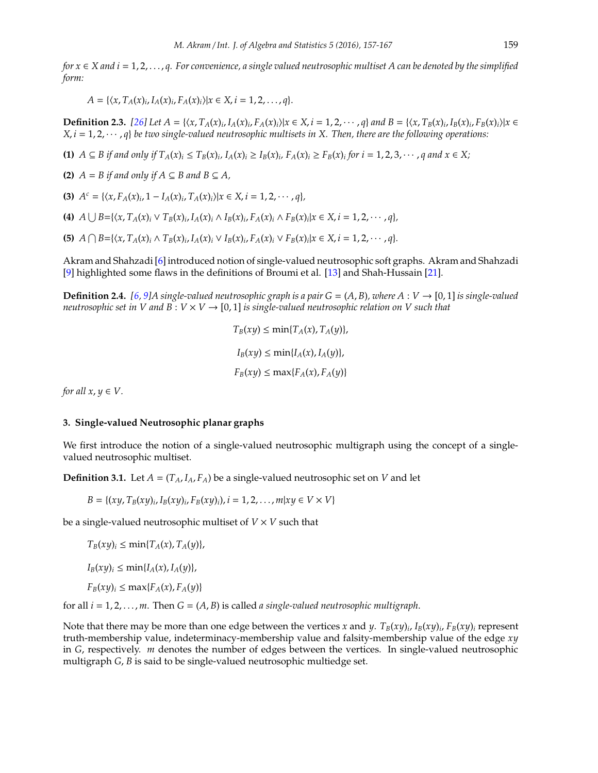*for x* ∈ *X and i* = 1, 2, . . . , *q. For convenience, a single valued neutrosophic multiset A can be denoted by the simplified form:*

$$
A = \{ \langle x, T_A(x)_i, I_A(x)_i, F_A(x)_i \rangle | x \in X, i = 1, 2, ..., q \}.
$$

**Definition 2.3.** [\[26](#page-11-22)] Let  $A = \{(x, T_A(x)_i, I_A(x)_i, F_A(x)_i)|x \in X, i = 1, 2, \cdots, q\}$  and  $B = \{(x, T_B(x)_i, I_B(x)_i, F_B(x)_i)|x \in X, i = 1, 2, \cdots, q\}$  $X, i = 1, 2, \dots, q$  *be two single-valued neutrosophic multisets in X. Then, there are the following operations:* 

(1)  $A \subseteq B$  if and only if  $T_A(x)_i \leq T_B(x)_i$ ,  $I_A(x)_i \geq I_B(x)_i$ ,  $F_A(x)_i \geq F_B(x)_i$  for  $i = 1, 2, 3, \cdots$ , q and  $x \in X$ ;

**(2)**  $A = B$  *if and only if*  $A \subseteq B$  *and*  $B \subseteq A$ *,* 

**(3)**  $A^c = \{ \langle x, F_A(x)_i, 1 - I_A(x)_i, T_A(x)_i \rangle | x \in X, i = 1, 2, \dots, q \},\$ 

(4)  $A \cup B = \{ \langle x, T_A(x)_i \vee T_B(x)_i, I_A(x)_i \wedge I_B(x)_i, F_A(x)_i \wedge F_B(x)_i | x \in X, i = 1, 2, \cdots, q \},\$ 

(5)  $A \bigcap B = \{ \langle x, T_A(x)_i \land T_B(x)_i, I_A(x)_i \lor I_B(x)_i, F_A(x)_i \lor F_B(x)_i | x \in X, i = 1, 2, \cdots, q \}.$ 

Akram and Shahzadi [\[6\]](#page-11-16) introduced notion of single-valued neutrosophic soft graphs. Akram and Shahzadi [\[9\]](#page-11-23) highlighted some flaws in the definitions of Broumi et al. [\[13\]](#page-11-15) and Shah-Hussain [\[21](#page-11-24)].

**Definition 2.4.** [\[6](#page-11-16), [9\]](#page-11-23)A single-valued neutrosophic graph is a pair  $G = (A, B)$ , where  $A: V \to [0, 1]$  is single-valued *neutrosophic set in V and B* :  $V \times V \rightarrow [0, 1]$  *is single-valued neutrosophic relation on V such that* 

$$
T_B(xy) \le \min\{T_A(x), T_A(y)\},
$$
  
\n
$$
I_B(xy) \le \min\{I_A(x), I_A(y)\},
$$
  
\n
$$
F_B(xy) \le \max\{F_A(x), F_A(y)\}
$$

*for all*  $x, y \in V$ .

#### **3. Single-valued Neutrosophic planar graphs**

We first introduce the notion of a single-valued neutrosophic multigraph using the concept of a singlevalued neutrosophic multiset.

**Definition 3.1.** Let  $A = (T_A, I_A, F_A)$  be a single-valued neutrosophic set on *V* and let

$$
B = \{(xy, T_B(xy)_i, I_B(xy)_i, F_B(xy)_i), i = 1, 2, ..., m|xy \in V \times V\}
$$

be a single-valued neutrosophic multiset of  $V \times V$  such that

 $T_B(xy)_i \leq \min\{T_A(x), T_A(y)\},$  $I_B(xy)_i \leq \min\{I_A(x), I_A(y)\},$  $F_B(xy)_i \leq \max\{F_A(x), F_A(y)\}$ 

for all  $i = 1, 2, \ldots, m$ . Then  $G = (A, B)$  is called *a single-valued neutrosophic multigraph*.

<span id="page-3-0"></span>Note that there may be more than one edge between the vertices *x* and *y*.  $T_B(xy)_{i}$ ,  $I_B(xy)_{i}$ ,  $F_B(xy)_{i}$  represent truth-membership value, indeterminacy-membership value and falsity-membership value of the edge *xy* in *G*, respectively. *m* denotes the number of edges between the vertices. In single-valued neutrosophic multigraph *G*, *B* is said to be single-valued neutrosophic multiedge set.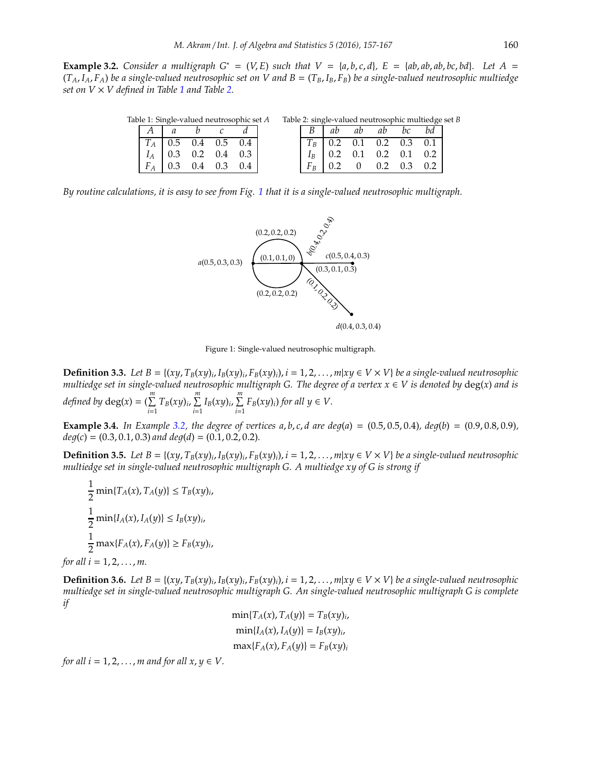**Example 3.2.** *Consider a multigraph G<sup>\*</sup> = (V, E) such that*  $V = \{a, b, c, d\}$ *,*  $E = \{ab, ab, ab, bc, bd\}$ *. Let A =*  $\{ab, ab, bc, bd\}$ *.*  $(T_A, I_A, F_A)$  *be a single-valued neutrosophic set on V and*  $B = (T_B, I_B, F_B)$  *<i>be a single-valued neutrosophic multiedge set on*  $V \times V$  *defined in Table* [1](#page-4-0) *and Table* [2.](#page-4-1)

<span id="page-4-0"></span>

|       |                       | Table 1: Single-valued neutrosophic set A | Table 2: single-valued neutrosophic multiedge set B |       |    |     |                                                             |                 |  |  |  |
|-------|-----------------------|-------------------------------------------|-----------------------------------------------------|-------|----|-----|-------------------------------------------------------------|-----------------|--|--|--|
|       |                       |                                           |                                                     |       | ab | ab  | ab                                                          | bc              |  |  |  |
|       |                       | $T_A$ 0.5 0.4 0.5 0.4                     |                                                     |       |    |     | $T_B$ 0.2 0.1 0.2 0.3 0.1                                   |                 |  |  |  |
|       | $I_A$ 0.3 0.2 0.4 0.3 |                                           |                                                     | $I_R$ |    |     | $\begin{bmatrix} 0.2 & 0.1 & 0.2 & 0.1 & 0.2 \end{bmatrix}$ |                 |  |  |  |
| $F_A$ |                       |                                           |                                                     |       |    | (1) |                                                             | $0.2 \quad 0.3$ |  |  |  |

*By routine calculations, it is easy to see from Fig. [1](#page-4-2) that it is a single-valued neutrosophic multigraph.*

<span id="page-4-1"></span>

<span id="page-4-2"></span>Figure 1: Single-valued neutrosophic multigraph.

**Definition 3.3.** Let  $B = \{(xy, T_B(xy)_i, I_B(xy)_i, F_B(xy)_i), i = 1, 2, ..., m | xy \in V \times V\}$  be a single-valued neutrosophic *multiedge set in single-valued neutrosophic multigraph G. The degree of a vertex x* ∈ *V is denoted by* deg(*x*) *and is defined by*  $deg(x) = (\sum^{m}$  $\sum_{i=1}^{m} T_B(xy)_i, \sum_{i=1}^{m}$  $\sum_{i=1}^{m} I_B(xy)_i$ ,  $\sum_{i=1}^{m}$  $\sum_{i=1} F_B(xy)_i$  *for all*  $y \in V$ .

**Example 3.4.** In Example [3.2,](#page-3-0) the degree of vertices a, b, c, d are deg(a) =  $(0.5, 0.5, 0.4)$ , deg(b) =  $(0.9, 0.8, 0.9)$ ,  $deg(c) = (0.3, 0.1, 0.3)$  *and*  $deg(d) = (0.1, 0.2, 0.2)$ *.* 

**Definition 3.5.** Let  $B = \{(xy, T_B(xy)_i, I_B(xy)_i, F_B(xy)_i), i = 1, 2, ..., m|xy \in V \times V\}$  be a single-valued neutrosophic *multiedge set in single-valued neutrosophic multigraph G. A multiedge xy of G is strong if*

1  $\frac{1}{2}$  min{*T<sub>A</sub>*(*x*), *T<sub>A</sub>*(*y*)}  $\le T_B(xy)$ *i*, 1  $\frac{1}{2}$  min{*I<sub>A</sub>*(*x*), *I<sub>A</sub>*(*y*)}  $\leq$  *I<sub>B</sub>*(*xy*)*<sub>i</sub>*, 1  $\frac{1}{2}$  max{*F<sub>A</sub>*(*x*), *F<sub>A</sub>*(*y*)}  $\geq F_B(xy)$ *i*, *for all i* =  $1, 2, ..., m$ .

**Definition 3.6.** Let  $B = \{(xy, T_B(xy)_i, I_B(xy)_i, F_B(xy)_i), i = 1, 2, ..., m | xy \in V \times V\}$  be a single-valued neutrosophic *multiedge set in single-valued neutrosophic multigraph G. An single-valued neutrosophic multigraph G is complete if*

$$
\min\{T_A(x), T_A(y)\} = T_B(xy)_i,
$$
  
\n
$$
\min\{I_A(x), I_A(y)\} = I_B(xy)_i,
$$
  
\n
$$
\max\{F_A(x), F_A(y)\} = F_B(xy)_i
$$

*for all i* = 1, 2,  $\dots$ , *m* and *for all x*,  $y \in V$ .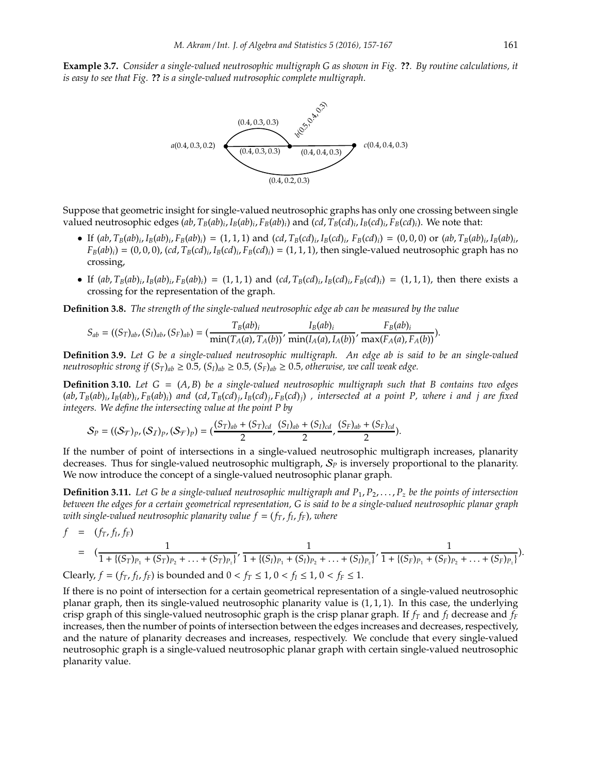**Example 3.7.** *Consider a single-valued neutrosophic multigraph G as shown in Fig.* **??***. By routine calculations, it is easy to see that Fig.* **??** *is a single-valued nutrosophic complete multigraph.*



Suppose that geometric insight for single-valued neutrosophic graphs has only one crossing between single valued neutrosophic edges  $(ab, T_B(ab)_i, I_B(ab)_i, F_B(ab)_i)$  and  $(cd, T_B(cd)_i, F_B(cd)_i$ ). We note that:

- If  $(ab, T_B(ab)_i, I_B(ab)_i, F_B(ab)_i) = (1, 1, 1)$  and  $(cd, T_B(cd)_i, I_B(cd)_i, F_B(cd)_i) = (0, 0, 0)$  or  $(ab, T_B(ab)_i, I_B(ab)_i,$  $F_B(ab)_i$  = (0,0,0), (*cd*,  $T_B(cd)_i$ ,  $I_B(cd)_i$ ,  $F_B(cd)_i$ ) = (1, 1, 1), then single-valued neutrosophic graph has no crossing,
- If  $(ab, T_B(ab)_i, I_B(ab)_i, F_B(ab)_i) = (1, 1, 1)$  and  $(cd, T_B(cd)_i, I_B(cd)_i, F_B(cd)_i) = (1, 1, 1)$ , then there exists a crossing for the representation of the graph.

**Definition 3.8.** *The strength of the single-valued neutrosophic edge ab can be measured by the value*

$$
S_{ab} = ((S_T)_{ab}, (S_I)_{ab}, (S_F)_{ab}) = (\frac{T_B(ab)_i}{\min(T_A(a), T_A(b))}, \frac{I_B(ab)_i}{\min(I_A(a), I_A(b))}, \frac{F_B(ab)_i}{\max(F_A(a), F_A(b))}).
$$

**Definition 3.9.** *Let G be a single-valued neutrosophic multigraph. An edge ab is said to be an single-valued neutrosophic strong if*  $(S_T)_{ab} \geq 0.5$ ,  $(S_I)_{ab} \geq 0.5$ ,  $(S_F)_{ab} \geq 0.5$ , otherwise, we call weak edge.

**Definition 3.10.** *Let G* = (*A*, *B*) *be a single-valued neutrosophic multigraph such that B contains two edges* (ab,  $T_B(ab)_i$ ,  $I_B(ab)_i$ ,  $F_B(ab)_i$ ) and (cd,  $T_B(cd)_j$ ,  $I_B(cd)_j$ ,  $F_B(cd)_j$ ) , intersected at a point P, where i and j are fixed *integers. We define the intersecting value at the point P by*

$$
S_P = ((S_T)_{P}, (S_T)_{P}, (S_T)_{P}) = (\frac{(S_T)_{ab} + (S_T)_{cd}}{2}, \frac{(S_I)_{ab} + (S_I)_{cd}}{2}, \frac{(S_F)_{ab} + (S_F)_{cd}}{2}).
$$

If the number of point of intersections in a single-valued neutrosophic multigraph increases, planarity decreases. Thus for single-valued neutrosophic multigraph, S*<sup>P</sup>* is inversely proportional to the planarity. We now introduce the concept of a single-valued neutrosophic planar graph.

**Definition 3.11.** Let G be a single-valued neutrosophic multigraph and  $P_1, P_2, \ldots, P_z$  be the points of intersection *between the edges for a certain geometrical representation, G is said to be a single-valued neutrosophic planar graph with single-valued neutrosophic planarity value f* = (*fT*, *f<sup>I</sup>* , *fF*)*, where*

$$
f = (f_T, f_I, f_F)
$$
  
=  $(\frac{1}{1 + \{(S_T)_{P_1} + (S_T)_{P_2} + \ldots + (S_T)_{P_z}\}}', \frac{1}{1 + \{(S_I)_{P_1} + (S_I)_{P_2} + \ldots + (S_I)_{P_z}\}}', \frac{1}{1 + \{(S_F)_{P_1} + (S_F)_{P_2} + \ldots + (S_F)_{P_z}\}}).$ 

Clearly,  $f = (f_T, f_I, f_F)$  is bounded and  $0 < f_T \le 1$ ,  $0 < f_I \le 1$ ,  $0 < f_F \le 1$ .

If there is no point of intersection for a certain geometrical representation of a single-valued neutrosophic planar graph, then its single-valued neutrosophic planarity value is  $(1, 1, 1)$ . In this case, the underlying crisp graph of this single-valued neutrosophic graph is the crisp planar graph. If  $f_T$  and  $f_I$  decrease and  $f_F$ increases, then the number of points of intersection between the edges increases and decreases, respectively, and the nature of planarity decreases and increases, respectively. We conclude that every single-valued neutrosophic graph is a single-valued neutrosophic planar graph with certain single-valued neutrosophic planarity value.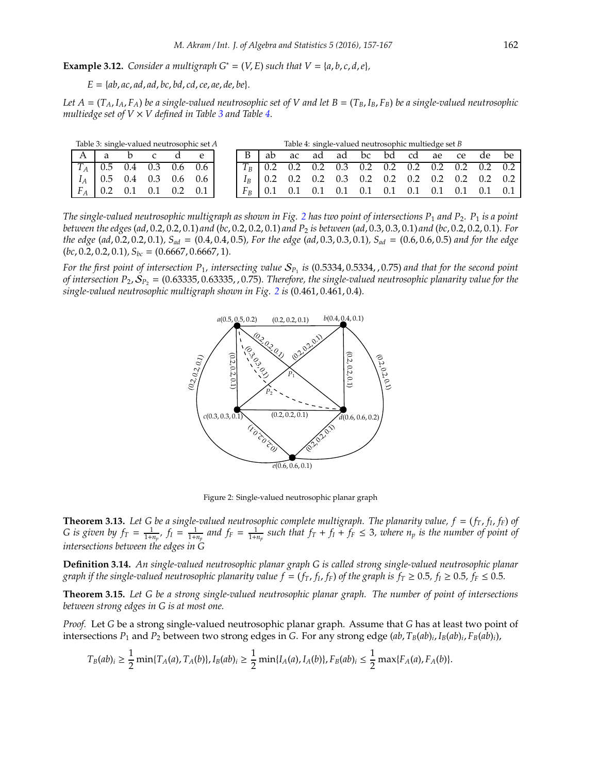**Example 3.12.** *Consider a multigraph*  $G^* = (V, E)$  *such that*  $V = \{a, b, c, d, e\}$ *,* 

*E* = {*ab*, *ac*, *ad*, *ad*, *bc*, *bd*, *cd*, *ce*, *ae*, *de*, *be*}.

*Let*  $A = (T_A, I_A, F_A)$  *be a single-valued neutrosophic set of V and let*  $B = (T_B, I_B, F_B)$  *be a single-valued neutrosophic multiedge set of*  $V \times V$  *defined in Table [3](#page-6-0) and Table [4.](#page-6-1)* 

<span id="page-6-0"></span>

| Table 3: single-valued neutrosophic set A |              |                           |  |  |     |                           |  | Table 4: single-valued neutrosophic multiedge set B |                                           |    |  |  |  |  |  |                                                 |     |                                                         |  |
|-------------------------------------------|--------------|---------------------------|--|--|-----|---------------------------|--|-----------------------------------------------------|-------------------------------------------|----|--|--|--|--|--|-------------------------------------------------|-----|---------------------------------------------------------|--|
|                                           | $\mathsf{A}$ |                           |  |  |     |                           |  |                                                     | ab.                                       | ac |  |  |  |  |  |                                                 |     | ad ad bc bd cd ae ce de be                              |  |
|                                           |              |                           |  |  |     | $T_A$ 0.5 0.4 0.3 0.6 0.6 |  |                                                     |                                           |    |  |  |  |  |  |                                                 |     | $ T_B $ 0.2 0.2 0.2 0.3 0.2 0.2 0.2 0.2 0.2 0.2 0.2 0.2 |  |
|                                           |              | $I_A$ 0.5 0.4 0.3 0.6 0.6 |  |  |     |                           |  |                                                     | $I_R$ 0.2 0.2 0.2 0.3 0.2 0.2 0.2 0.2 0.2 |    |  |  |  |  |  |                                                 |     | $0.2 \quad 0.2$                                         |  |
|                                           |              | $F_A$ 0.2 0.1 0.1         |  |  | 0.2 | 0.1                       |  |                                                     | $F_R$ 0.1                                 |    |  |  |  |  |  | $0.1$ $0.1$ $0.1$ $0.1$ $0.1$ $0.1$ $0.1$ $0.1$ | 0.1 |                                                         |  |

*The single-valued neutrosophic multigraph as shown in Fig. [2](#page-6-2) has two point of intersections P*<sup>1</sup> *and P*2*. P*<sup>1</sup> *is a point between the edges* (*ad*, 0.2, 0.2, 0.1) *and* (*bc*, 0.2, 0.2, 0.1) *and P*<sup>2</sup> *is between* (*ad*, 0.3, 0.3, 0.1) *and* (*bc*, 0.2, 0.2, 0.1)*. For the edge* (*ad*, 0.2, 0.2, 0.1)*, Sad* = (0.4, 0.4, 0.5)*, For the edge* (*ad*, 0.3, 0.3, 0.1)*, Sad* = (0.6, 0.6, 0.5) *and for the edge* (*bc*, 0.2, 0.2, 0.1)*, Sbc* = (0.6667, 0.6667, 1)*.*

*For the first point of intersection P*1*, intersecting value* S*<sup>P</sup>*<sup>1</sup> *is* (0.5334, 0.5334, , 0.75) *and that for the second point of intersection P<sub>2</sub>,*  $S_p$ *<sub>2</sub> = (0.63335, 0.63335, 0.75). Therefore, the single-valued neutrosophic planarity value for the single-valued neutrosophic multigraph shown in Fig. [2](#page-6-2) is* (0.461, 0.461, 0.4)*.*

<span id="page-6-1"></span>

<span id="page-6-2"></span>Figure 2: Single-valued neutrosophic planar graph

**Theorem 3.13.** *Let G be a single-valued neutrosophic complete multigraph. The planarity value, f* = (*fT*, *f<sup>I</sup>* , *fF*) *of* G is given by  $f_T = \frac{1}{1+n_p}$ ,  $f_I = \frac{1}{1+n_p}$  and  $f_F = \frac{1}{1+n_p}$  such that  $f_T + f_I + f_F \le 3$ , where  $n_p$  is the number of point of *intersections between the edges in G*

**Definition 3.14.** *An single-valued neutrosophic planar graph G is called strong single-valued neutrosophic planar* graph if the single-valued neutrosophic planarity value  $f = (f_T, f_I, f_F)$  of the graph is  $f_T \ge 0.5$ ,  $f_I \ge 0.5$ ,  $f_F \le 0.5$ .

**Theorem 3.15.** *Let G be a strong single-valued neutrosophic planar graph. The number of point of intersections between strong edges in G is at most one.*

*Proof.* Let *G* be a strong single-valued neutrosophic planar graph. Assume that *G* has at least two point of intersections *P*<sup>1</sup> and *P*<sup>2</sup> between two strong edges in *G*. For any strong edge (*ab*, *TB*(*ab*)*<sup>i</sup>* , *IB*(*ab*)*<sup>i</sup>* , *FB*(*ab*)*i*),

$$
T_B(ab)_i \geq \frac{1}{2} \min\{T_A(a), T_A(b)\}, I_B(ab)_i \geq \frac{1}{2} \min\{I_A(a), I_A(b)\}, F_B(ab)_i \leq \frac{1}{2} \max\{F_A(a), F_A(b)\}.
$$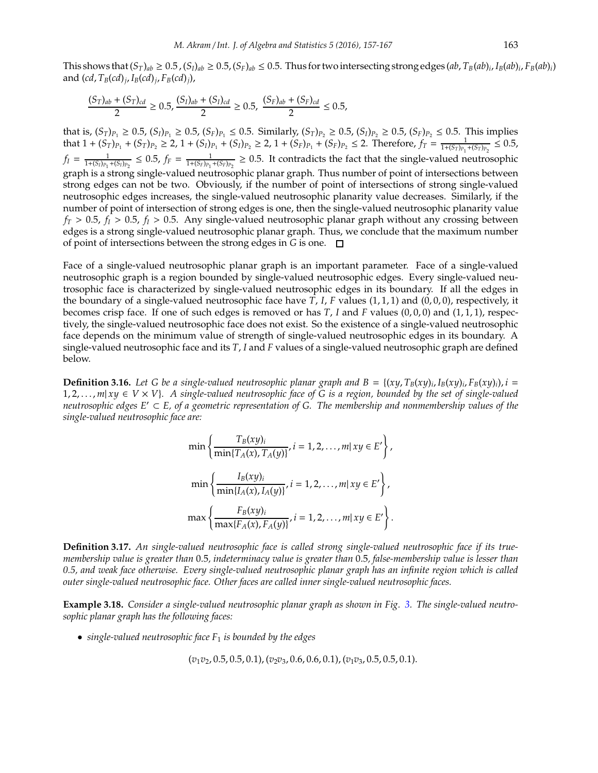This shows that  $(S_T)_{ab} \ge 0.5$  ,  $(S_I)_{ab} \ge 0.5$ ,  $(S_F)_{ab} \le 0.5$ . Thus for two intersecting strong edges  $(ab, T_B(ab)_i, I_B(ab)_i, F_B(ab)_i)$ and (*cd*, *TB*(*cd*)*<sup>j</sup>* , *IB*(*cd*)*<sup>j</sup>* , *FB*(*cd*)*j*),

$$
\frac{(S_T)_{ab} + (S_T)_{cd}}{2} \ge 0.5, \frac{(S_I)_{ab} + (S_I)_{cd}}{2} \ge 0.5, \frac{(S_F)_{ab} + (S_F)_{cd}}{2} \le 0.5,
$$

that is,  $(S_T)_{P_1} \ge 0.5$ ,  $(S_I)_{P_1} \ge 0.5$ ,  $(S_F)_{P_1} \le 0.5$ . Similarly,  $(S_T)_{P_2} \ge 0.5$ ,  $(S_I)_{P_2} \ge 0.5$ ,  $(S_F)_{P_2} \le 0.5$ . This implies that  $1 + (S_T)_{P_1} + (S_T)_{P_2} \ge 2$ ,  $1 + (S_I)_{P_1} + (S_I)_{P_2} \ge 2$ ,  $1 + (S_F)_{P_1} + (S_F)_{P_2} \le 2$ . Therefore,  $f_T = \frac{1}{1 + (S_T)_{P_1} + (S_T)_{P_2}} \le 0.5$ ,  $f_I = \frac{1}{1 + (S_I)_{P_1} + (S_I)_{P_2}} \le 0.5$ ,  $f_F = \frac{1}{1 + (S_F)_{P_1} + (S_F)_{P_2}} \ge 0.5$ . It contradicts the fact that the single-valued neutrosophic graph is a strong single-valued neutrosophic planar graph. Thus number of point of intersections between strong edges can not be two. Obviously, if the number of point of intersections of strong single-valued neutrosophic edges increases, the single-valued neutrosophic planarity value decreases. Similarly, if the number of point of intersection of strong edges is one, then the single-valued neutrosophic planarity value  $f_T > 0.5$ ,  $f_I > 0.5$ ,  $f_I > 0.5$ . Any single-valued neutrosophic planar graph without any crossing between edges is a strong single-valued neutrosophic planar graph. Thus, we conclude that the maximum number of point of intersections between the strong edges in *G* is one.

Face of a single-valued neutrosophic planar graph is an important parameter. Face of a single-valued neutrosophic graph is a region bounded by single-valued neutrosophic edges. Every single-valued neutrosophic face is characterized by single-valued neutrosophic edges in its boundary. If all the edges in the boundary of a single-valued neutrosophic face have *T*, *I*, *F* values (1, 1, 1) and (0, 0, 0), respectively, it becomes crisp face. If one of such edges is removed or has *T*, *I* and *F* values (0, 0, 0) and (1, 1, 1), respectively, the single-valued neutrosophic face does not exist. So the existence of a single-valued neutrosophic face depends on the minimum value of strength of single-valued neutrosophic edges in its boundary. A single-valued neutrosophic face and its *T*, *I* and *F* values of a single-valued neutrosophic graph are defined below.

**Definition 3.16.** Let G be a single-valued neutrosophic planar graph and  $B = \{(xy, T_B(xy)_i, I_B(xy)_i, F_B(xy)_i), i =$ 1, 2, . . . , *m*| *xy* ∈ *V* × *V*}*. A single-valued neutrosophic face of G is a region, bounded by the set of single-valued neutrosophic edges E*′ ⊂ *E, of a geometric representation of G. The membership and nonmembership values of the single-valued neutrosophic face are:*

$$
\min\left\{\frac{T_B(xy)_i}{\min\{T_A(x), T_A(y)\}}, i = 1, 2, \dots, m | xy \in E'\right\},\
$$

$$
\min\left\{\frac{I_B(xy)_i}{\min\{I_A(x), I_A(y)\}}, i = 1, 2, \dots, m | xy \in E'\right\},\
$$

$$
\max\left\{\frac{F_B(xy)_i}{\max\{F_A(x), F_A(y)\}}, i = 1, 2, \dots, m | xy \in E'\right\}.
$$

**Definition 3.17.** *An single-valued neutrosophic face is called strong single-valued neutrosophic face if its truemembership value is greater than* 0.5*, indeterminacy value is greater than* 0.5*, false-membership value is lesser than 0.5, and weak face otherwise. Every single-valued neutrosophic planar graph has an infinite region which is called outer single-valued neutrosophic face. Other faces are called inner single-valued neutrosophic faces.*

**Example 3.18.** *Consider a single-valued neutrosophic planar graph as shown in Fig. [3.](#page-8-0) The single-valued neutrosophic planar graph has the following faces:*

• *single-valued neutrosophic face F*<sup>1</sup> *is bounded by the edges*

$$
(v_1v_2, 0.5, 0.5, 0.1), (v_2v_3, 0.6, 0.6, 0.1), (v_1v_3, 0.5, 0.5, 0.1).
$$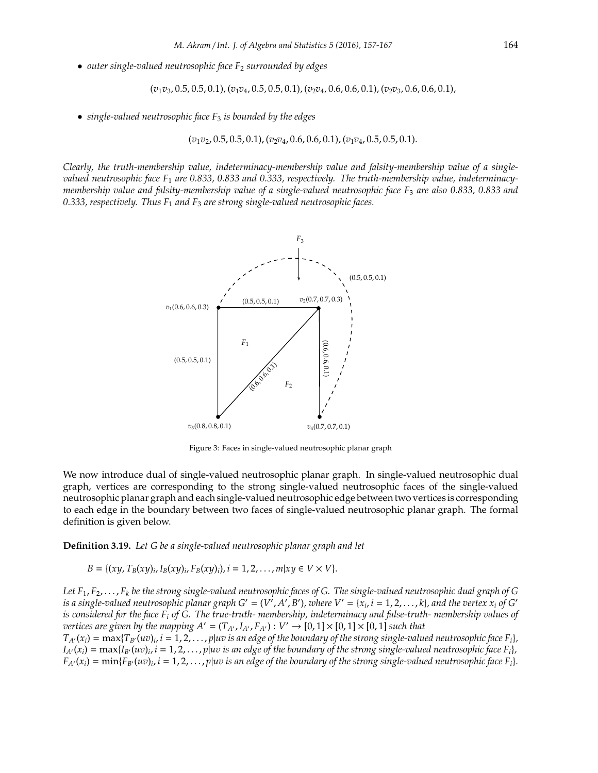• *outer single-valued neutrosophic face F*<sup>2</sup> *surrounded by edges*

$$
(v_1v_3, 0.5, 0.5, 0.1), (v_1v_4, 0.5, 0.5, 0.1), (v_2v_4, 0.6, 0.6, 0.1), (v_2v_3, 0.6, 0.6, 0.1),
$$

• *single-valued neutrosophic face F*<sup>3</sup> *is bounded by the edges*

(*v*1*v*2, 0.5, 0.5, 0.1), (*v*2*v*4, 0.6, 0.6, 0.1), (*v*1*v*4, 0.5, 0.5, 0.1).

*Clearly, the truth-membership value, indeterminacy-membership value and falsity-membership value of a singlevalued neutrosophic face F*<sup>1</sup> *are 0.833, 0.833 and 0.333, respectively. The truth-membership value, indeterminacymembership value and falsity-membership value of a single-valued neutrosophic face F*<sup>3</sup> *are also 0.833, 0.833 and 0.333, respectively. Thus F*<sup>1</sup> *and F*<sup>3</sup> *are strong single-valued neutrosophic faces.*



<span id="page-8-0"></span>Figure 3: Faces in single-valued neutrosophic planar graph

We now introduce dual of single-valued neutrosophic planar graph. In single-valued neutrosophic dual graph, vertices are corresponding to the strong single-valued neutrosophic faces of the single-valued neutrosophic planar graph and each single-valued neutrosophic edge between two vertices is corresponding to each edge in the boundary between two faces of single-valued neutrosophic planar graph. The formal definition is given below.

**Definition 3.19.** *Let G be a single-valued neutrosophic planar graph and let*

*B* = { $(xy, T_B(xy)_i, I_B(xy)_i, F_B(xy)_i)$ ,  $i = 1, 2, ..., m | xy \in V \times V$  }.

Let  $F_1, F_2, \ldots, F_k$  be the strong single-valued neutrosophic faces of G. The single-valued neutrosophic dual graph of G *is a single-valued neutrosophic planar graph*  $G' = (V', A', B')$ *, where*  $V' = \{x_i, i = 1, 2, ..., k\}$ *, and the vertex*  $x_i$  *of*  $G'$ *is considered for the face F<sup>i</sup> of G. The true-truth- membership, indeterminacy and false-truth- membership values of vertices are given by the mapping A'* =  $(T_{A'}, I_{A'}, F_{A'}) : V' \to [0, 1] \times [0, 1] \times [0, 1]$  *such that* 

 $T_{A'}(x_i) = \max\{T_{B'}(uv)_i, i = 1, 2, \ldots, p|uv \text{ is an edge of the boundary of the strong single-valued neutroscopic face } F_i\}$  $I_{A'}(x_i) = \max\{I_{B'}(uv)_i, i = 1, 2, \ldots, p|uv \text{ is an edge of the boundary of the strong single-valued neutrosophic face } F_i\}$  $F_{A'}(x_i) = \min\{F_{B'}(uv)_i, i = 1, 2, \ldots, p|uv \text{ is an edge of the boundary of the strong single-valued neutrosophic face } F_i\}.$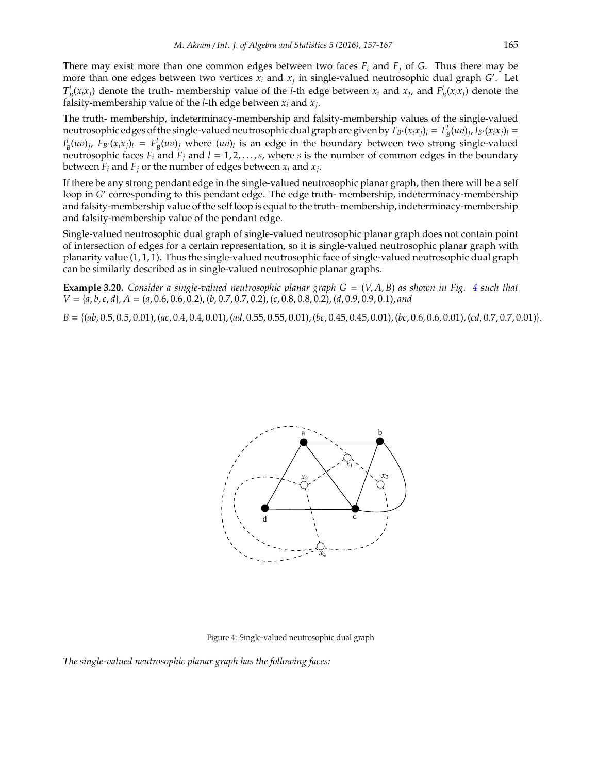There may exist more than one common edges between two faces *F<sup>i</sup>* and *F<sup>j</sup>* of *G*. Thus there may be more than one edges between two vertices *x<sup>i</sup>* and *x<sup>j</sup>* in single-valued neutrosophic dual graph *G* ′ . Let  $T_B^l(x_ix_j)$  denote the truth- membership value of the *l*-th edge between  $x_i$  and  $x_j$ , and  $F_B^l(x_ix_j)$  denote the falsity-membership value of the *l*-th edge between *x<sup>i</sup>* and *x<sup>j</sup>* .

The truth- membership, indeterminacy-membership and falsity-membership values of the single-valued neutrosophic edges of the single-valued neutrosophic dual graph are given by  $T_{B'}(x_ix_j)_l = T_B^l(uv)_j$ ,  $I_{B'}(x_ix_j)_l =$  $I_B^l(uv)_j$ ,  $F_{B'}(x_ix_j)_l = F_B^l(uv)_j$  where  $(uv)_l$  is an edge in the boundary between two strong single-valued neutrosophic faces  $F_i$  and  $F_j$  and  $l = 1, 2, ..., s$ , where *s* is the number of common edges in the boundary between  $F_i$  and  $F_j$  or the number of edges between  $x_i$  and  $x_j$ .

If there be any strong pendant edge in the single-valued neutrosophic planar graph, then there will be a self loop in *G'* corresponding to this pendant edge. The edge truth- membership, indeterminacy-membership and falsity-membership value of the self loop is equal to the truth- membership, indeterminacy-membership and falsity-membership value of the pendant edge.

Single-valued neutrosophic dual graph of single-valued neutrosophic planar graph does not contain point of intersection of edges for a certain representation, so it is single-valued neutrosophic planar graph with planarity value (1, 1, 1). Thus the single-valued neutrosophic face of single-valued neutrosophic dual graph can be similarly described as in single-valued neutrosophic planar graphs.

**Example 3.20.** *Consider a single-valued neutrosophic planar graph G* = (*V*, *A*, *B*) *as shown in Fig. [4](#page-9-0) such that V* = {*a*, *b*, *c*, *d*}*, A* = (*a*, 0.6, 0.6, 0.2), (*b*, 0.7, 0.7, 0.2), (*c*, 0.8, 0.8, 0.2), (*d*, 0.9, 0.9, 0.1), *and*

*B* = {(*ab*, 0.5, 0.5, 0.01),(*ac*, 0.4, 0.4, 0.01), (*ad*, 0.55, 0.55, 0.01),(*bc*, 0.45, 0.45, 0.01),(*bc*, 0.6, 0.6, 0.01), (*cd*, 0.7, 0.7, 0.01)}.



<span id="page-9-0"></span>Figure 4: Single-valued neutrosophic dual graph

*The single-valued neutrosophic planar graph has the following faces:*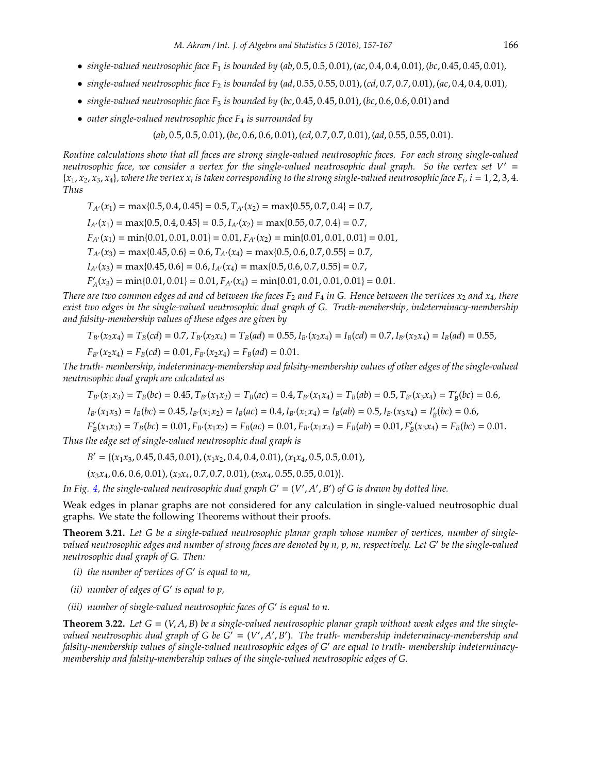- *single-valued neutrosophic face*  $F_1$  *is bounded by (ab, 0.5, 0.5, 0.01), (ac, 0.4, 0.01), (bc, 0.45, 0.45, 0.01),*
- *single-valued neutrosophic face*  $F_2$  *is bounded by (ad, 0.55, 0.65, 0.01), (cd, 0.7, 0.7, 0.01), (ac, 0.4, 0.01),*
- *single-valued neutrosophic face F*<sup>3</sup> *is bounded by* (*bc*, 0.45, 0.45, 0.01),(*bc*, 0.6, 0.6, 0.01) and
- *outer single-valued neutrosophic face F*<sup>4</sup> *is surrounded by*

(*ab*, 0.5, 0.5, 0.01), (*bc*, 0.6, 0.6, 0.01),(*cd*, 0.7, 0.7, 0.01),(*ad*, 0.55, 0.55, 0.01).

*Routine calculations show that all faces are strong single-valued neutrosophic faces. For each strong single-valued neutrosophic face, we consider a vertex for the single-valued neutrosophic dual graph. So the vertex set V*′ =  $\{x_1, x_2, x_3, x_4\}$ , where the vertex  $x_i$  is taken corresponding to the strong single-valued neutrosophic face  $F_i$ ,  $i = 1, 2, 3, 4$ . *Thus*

 $T_{A'}(x_1) = \max\{0.5, 0.4, 0.45\} = 0.5, T_{A'}(x_2) = \max\{0.55, 0.7, 0.4\} = 0.7$  $I_{A'}(x_1) = \max\{0.5, 0.4, 0.45\} = 0.5, I_{A'}(x_2) = \max\{0.55, 0.7, 0.4\} = 0.7$  $F_{A'}(x_1) = \min\{0.01, 0.01, 0.01\} = 0.01, F_{A'}(x_2) = \min\{0.01, 0.01, 0.01\} = 0.01,$  $T_{A'}(x_3) = \max\{0.45, 0.6\} = 0.6, T_{A'}(x_4) = \max\{0.5, 0.6, 0.7, 0.55\} = 0.7$ ,  $I_{A'}(x_3) = \max\{0.45, 0.6\} = 0.6, I_{A'}(x_4) = \max\{0.5, 0.6, 0.7, 0.55\} = 0.7$  $F'_{A}(x_3) = \min\{0.01, 0.01\} = 0.01, F_{A'}(x_4) = \min\{0.01, 0.01, 0.01, 0.01\} = 0.01.$ 

*There are two common edges ad and cd between the faces*  $F_2$  *and*  $F_4$  *in G. Hence between the vertices*  $x_2$  *and*  $x_4$ *, there exist two edges in the single-valued neutrosophic dual graph of G. Truth-membership, indeterminacy-membership and falsity-membership values of these edges are given by*

$$
T_{B'}(x_2x_4) = T_B(cd) = 0.7, T_{B'}(x_2x_4) = T_B(ad) = 0.55, I_{B'}(x_2x_4) = I_B(cd) = 0.7, I_{B'}(x_2x_4) = I_B(ad) = 0.55,
$$

$$
F_{B'}(x_2x_4) = F_B(cd) = 0.01, F_{B'}(x_2x_4) = F_B(ad) = 0.01.
$$

*The truth- membership, indeterminacy-membership and falsity-membership values of other edges of the single-valued neutrosophic dual graph are calculated as*

$$
T_{B'}(x_1x_3) = T_B(bc) = 0.45, T_{B'}(x_1x_2) = T_B(ac) = 0.4, T_{B'}(x_1x_4) = T_B(ab) = 0.5, T_{B'}(x_3x_4) = T'_B(bc) = 0.6,
$$

$$
I_{B'}(x_1x_3) = I_B(bc) = 0.45, I_{B'}(x_1x_2) = I_B(ac) = 0.4, I_{B'}(x_1x_4) = I_B(ab) = 0.5, I_{B'}(x_3x_4) = I'_B(bc) = 0.6,
$$

$$
F'_B(x_1x_3) = T_B(bc) = 0.01, F_{B'}(x_1x_2) = F_B(ac) = 0.01, F_{B'}(x_1x_4) = F_B(ab) = 0.01, F'_B(x_3x_4) = F_B(bc) = 0.01.
$$

*Thus the edge set of single-valued neutrosophic dual graph is*

 $B' = \{(x_1x_3, 0.45, 0.45, 0.01), (x_1x_2, 0.4, 0.4, 0.01), (x_1x_4, 0.5, 0.5, 0.01),$ 

(*x*3*x*4, 0.6, 0.6, 0.01), (*x*2*x*4, 0.7, 0.7, 0.01), (*x*2*x*4, 0.55, 0.55, 0.01)}.

In Fig.  $4$ , the single-valued neutrosophic dual graph  $G' = (V', A', B')$  of  $G$  is drawn by dotted line.

Weak edges in planar graphs are not considered for any calculation in single-valued neutrosophic dual graphs. We state the following Theorems without their proofs.

**Theorem 3.21.** *Let G be a single-valued neutrosophic planar graph whose number of vertices, number of singlevalued neutrosophic edges and number of strong faces are denoted by n, p, m, respectively. Let G*′ *be the single-valued neutrosophic dual graph of G. Then:*

- *(i) the number of vertices of G*′ *is equal to m,*
- *(ii) number of edges of G*′ *is equal to p,*
- *(iii) number of single-valued neutrosophic faces of G*′ *is equal to n.*

**Theorem 3.22.** Let  $G = (V, A, B)$  be a single-valued neutrosophic planar graph without weak edges and the singlevalued neutrosophic dual graph of G be  $G' = (V', A', B')$ . The truth- membership indeterminacy-membership and *falsity-membership values of single-valued neutrosophic edges of G*′ *are equal to truth- membership indeterminacymembership and falsity-membership values of the single-valued neutrosophic edges of G.*